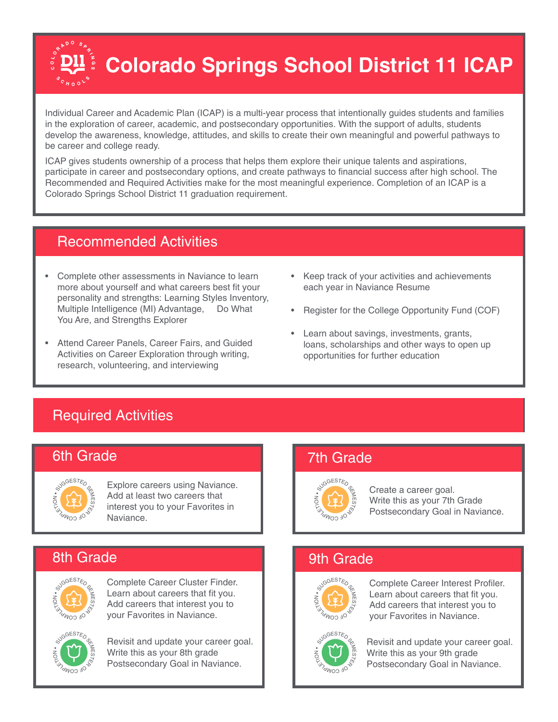# **Colorado Springs School District 11 ICAP**

Individual Career and Academic Plan (ICAP) is a multi-year process that intentionally guides students and families in the exploration of career, academic, and postsecondary opportunities. With the support of adults, students develop the awareness, knowledge, attitudes, and skills to create their own meaningful and powerful pathways to be career and college ready.

ICAP gives students ownership of a process that helps them explore their unique talents and aspirations, participate in career and postsecondary options, and create pathways to financial success after high school. The Recommended and Required Activities make for the most meaningful experience. Completion of an ICAP is a Colorado Springs School District 11 graduation requirement.

### Recommended Activities

- Complete other assessments in Naviance to learn more about yourself and what careers best fit your personality and strengths: Learning Styles Inventory, Multiple Intelligence (MI) Advantage, Do What You Are, and Strengths Explorer
- Attend Career Panels, Career Fairs, and Guided Activities on Career Exploration through writing, research, volunteering, and interviewing
- Keep track of your activities and achievements each year in Naviance Resume
- Register for the College Opportunity Fund (COF)
- Learn about savings, investments, grants, loans, scholarships and other ways to open up opportunities for further education

## Required Activities

### 6th Grade



Explore careers using Naviance. Add at least two careers that interest you to your Favorites in Naviance.

### 8th Grade



Complete Career Cluster Finder. Learn about careers that fit you. Add careers that interest you to your Favorites in Naviance.



Revisit and update your career goal. Write this as your 8th grade Postsecondary Goal in Naviance.

### 7th Grade



Create a career goal. Write this as your 7th Grade Postsecondary Goal in Naviance.

### 9th Grade



Complete Career Interest Profiler. Learn about careers that fit you. Add careers that interest you to your Favorites in Naviance.



Revisit and update your career goal. Write this as your 9th grade Postsecondary Goal in Naviance.